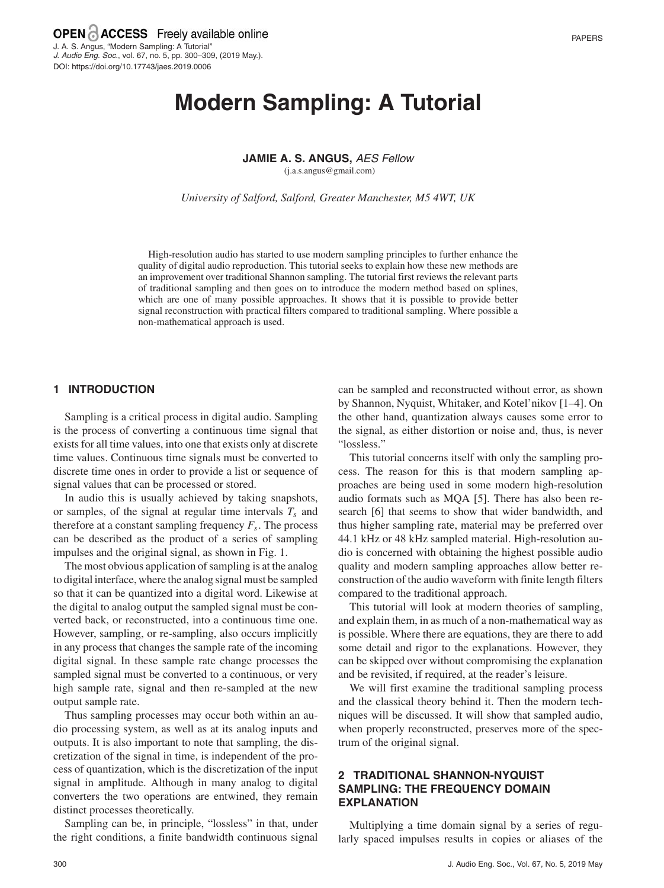# **Modern Sampling: A Tutorial**

**JAMIE A. S. ANGUS,** AES Fellow

(j.a.s.angus@gmail.com)

*University of Salford, Salford, Greater Manchester, M5 4WT, UK*

High-resolution audio has started to use modern sampling principles to further enhance the quality of digital audio reproduction. This tutorial seeks to explain how these new methods are an improvement over traditional Shannon sampling. The tutorial first reviews the relevant parts of traditional sampling and then goes on to introduce the modern method based on splines, which are one of many possible approaches. It shows that it is possible to provide better signal reconstruction with practical filters compared to traditional sampling. Where possible a non-mathematical approach is used.

## **1 INTRODUCTION**

Sampling is a critical process in digital audio. Sampling is the process of converting a continuous time signal that exists for all time values, into one that exists only at discrete time values. Continuous time signals must be converted to discrete time ones in order to provide a list or sequence of signal values that can be processed or stored.

In audio this is usually achieved by taking snapshots, or samples, of the signal at regular time intervals  $T_s$  and therefore at a constant sampling frequency  $F_s$ . The process can be described as the product of a series of sampling impulses and the original signal, as shown in Fig. 1.

The most obvious application of sampling is at the analog to digital interface, where the analog signal must be sampled so that it can be quantized into a digital word. Likewise at the digital to analog output the sampled signal must be converted back, or reconstructed, into a continuous time one. However, sampling, or re-sampling, also occurs implicitly in any process that changes the sample rate of the incoming digital signal. In these sample rate change processes the sampled signal must be converted to a continuous, or very high sample rate, signal and then re-sampled at the new output sample rate.

Thus sampling processes may occur both within an audio processing system, as well as at its analog inputs and outputs. It is also important to note that sampling, the discretization of the signal in time, is independent of the process of quantization, which is the discretization of the input signal in amplitude. Although in many analog to digital converters the two operations are entwined, they remain distinct processes theoretically.

Sampling can be, in principle, "lossless" in that, under the right conditions, a finite bandwidth continuous signal can be sampled and reconstructed without error, as shown by Shannon, Nyquist, Whitaker, and Kotel'nikov [1–4]. On the other hand, quantization always causes some error to the signal, as either distortion or noise and, thus, is never "lossless."

This tutorial concerns itself with only the sampling process. The reason for this is that modern sampling approaches are being used in some modern high-resolution audio formats such as MQA [5]. There has also been research [6] that seems to show that wider bandwidth, and thus higher sampling rate, material may be preferred over 44.1 kHz or 48 kHz sampled material. High-resolution audio is concerned with obtaining the highest possible audio quality and modern sampling approaches allow better reconstruction of the audio waveform with finite length filters compared to the traditional approach.

This tutorial will look at modern theories of sampling, and explain them, in as much of a non-mathematical way as is possible. Where there are equations, they are there to add some detail and rigor to the explanations. However, they can be skipped over without compromising the explanation and be revisited, if required, at the reader's leisure.

We will first examine the traditional sampling process and the classical theory behind it. Then the modern techniques will be discussed. It will show that sampled audio, when properly reconstructed, preserves more of the spectrum of the original signal.

# **2 TRADITIONAL SHANNON-NYQUIST SAMPLING: THE FREQUENCY DOMAIN EXPLANATION**

Multiplying a time domain signal by a series of regularly spaced impulses results in copies or aliases of the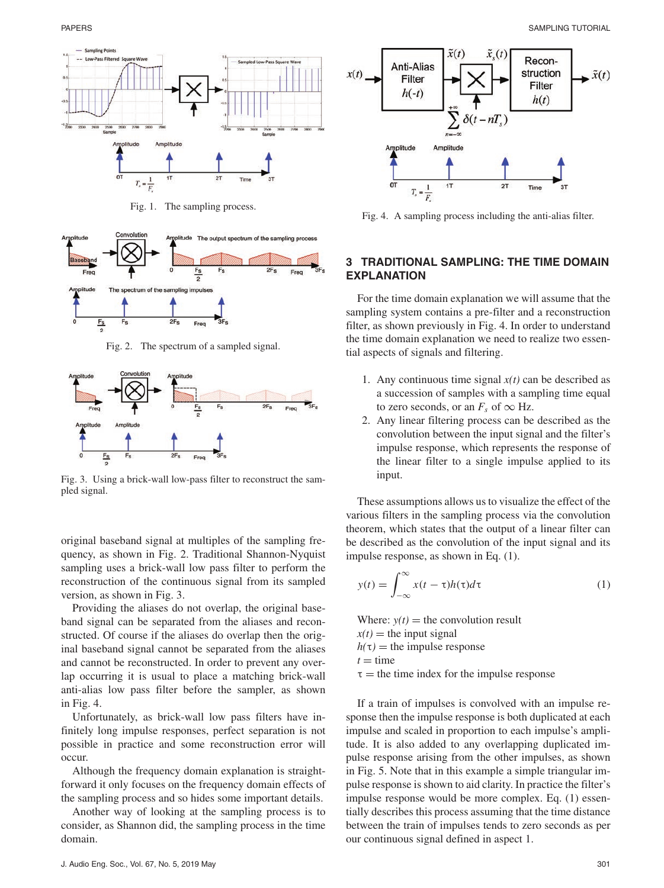

Fig. 1. The sampling process.



Fig. 2. The spectrum of a sampled signal.



Fig. 3. Using a brick-wall low-pass filter to reconstruct the sampled signal.

original baseband signal at multiples of the sampling frequency, as shown in Fig. 2. Traditional Shannon-Nyquist sampling uses a brick-wall low pass filter to perform the reconstruction of the continuous signal from its sampled version, as shown in Fig. 3.

Providing the aliases do not overlap, the original baseband signal can be separated from the aliases and reconstructed. Of course if the aliases do overlap then the original baseband signal cannot be separated from the aliases and cannot be reconstructed. In order to prevent any overlap occurring it is usual to place a matching brick-wall anti-alias low pass filter before the sampler, as shown in Fig. 4.

Unfortunately, as brick-wall low pass filters have infinitely long impulse responses, perfect separation is not possible in practice and some reconstruction error will occur.

Although the frequency domain explanation is straightforward it only focuses on the frequency domain effects of the sampling process and so hides some important details.

Another way of looking at the sampling process is to consider, as Shannon did, the sampling process in the time domain.



Fig. 4. A sampling process including the anti-alias filter.

# **3 TRADITIONAL SAMPLING: THE TIME DOMAIN EXPLANATION**

For the time domain explanation we will assume that the sampling system contains a pre-filter and a reconstruction filter, as shown previously in Fig. 4. In order to understand the time domain explanation we need to realize two essential aspects of signals and filtering.

- 1. Any continuous time signal  $x(t)$  can be described as a succession of samples with a sampling time equal to zero seconds, or an  $F_s$  of  $\infty$  Hz.
- 2. Any linear filtering process can be described as the convolution between the input signal and the filter's impulse response, which represents the response of the linear filter to a single impulse applied to its input.

These assumptions allows us to visualize the effect of the various filters in the sampling process via the convolution theorem, which states that the output of a linear filter can be described as the convolution of the input signal and its impulse response, as shown in Eq. (1).

$$
y(t) = \int_{-\infty}^{\infty} x(t - \tau)h(\tau)d\tau
$$
 (1)

Where:  $y(t)$  = the convolution result

 $x(t)$  = the input signal

 $h(\tau)$  = the impulse response

$$
t =
$$
time

 $\tau$  = the time index for the impulse response

If a train of impulses is convolved with an impulse response then the impulse response is both duplicated at each impulse and scaled in proportion to each impulse's amplitude. It is also added to any overlapping duplicated impulse response arising from the other impulses, as shown in Fig. 5. Note that in this example a simple triangular impulse response is shown to aid clarity. In practice the filter's impulse response would be more complex. Eq. (1) essentially describes this process assuming that the time distance between the train of impulses tends to zero seconds as per our continuous signal defined in aspect 1.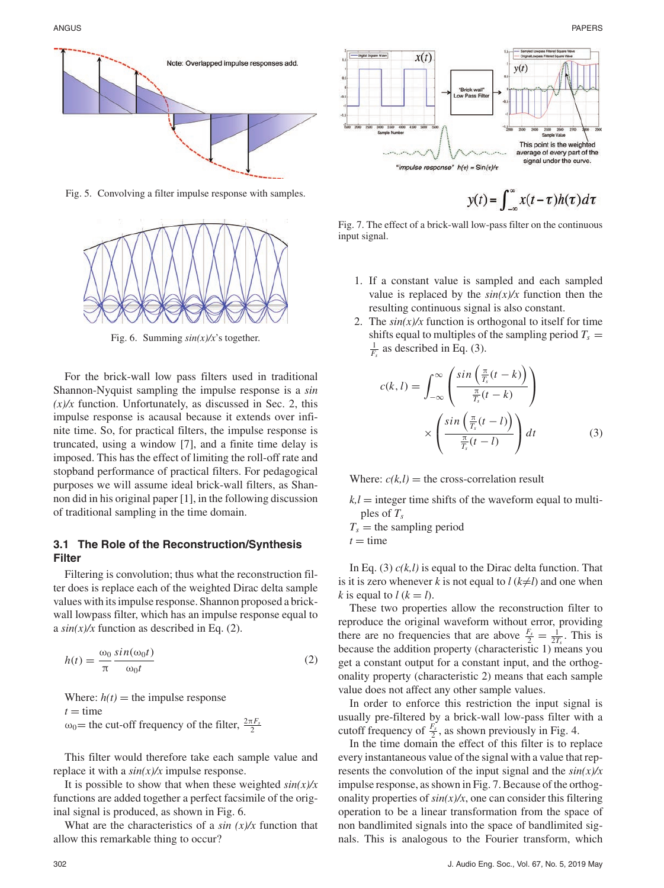

Fig. 5. Convolving a filter impulse response with samples.



Fig. 6. Summing *sin(x)/x*'s together.

For the brick-wall low pass filters used in traditional Shannon-Nyquist sampling the impulse response is a *sin*  $(x)/x$  function. Unfortunately, as discussed in Sec. 2, this impulse response is acausal because it extends over infinite time. So, for practical filters, the impulse response is truncated, using a window [7], and a finite time delay is imposed. This has the effect of limiting the roll-off rate and stopband performance of practical filters. For pedagogical purposes we will assume ideal brick-wall filters, as Shannon did in his original paper [1], in the following discussion of traditional sampling in the time domain.

## **3.1 The Role of the Reconstruction/Synthesis Filter**

Filtering is convolution; thus what the reconstruction filter does is replace each of the weighted Dirac delta sample values with its impulse response. Shannon proposed a brickwall lowpass filter, which has an impulse response equal to a  $sin(x)/x$  function as described in Eq. (2).

$$
h(t) = \frac{\omega_0}{\pi} \frac{\sin(\omega_0 t)}{\omega_0 t}
$$
 (2)

Where:  $h(t)$  = the impulse response  $t =$  time  $\omega_0$ = the cut-off frequency of the filter,  $\frac{2\pi F_s}{2}$ 

This filter would therefore take each sample value and replace it with a *sin(x)/x* impulse response.

It is possible to show that when these weighted *sin(x)/x* functions are added together a perfect facsimile of the original signal is produced, as shown in Fig. 6.

What are the characteristics of a *sin (x)/x* function that allow this remarkable thing to occur?



Fig. 7. The effect of a brick-wall low-pass filter on the continuous input signal.

- 1. If a constant value is sampled and each sampled value is replaced by the  $sin(x)/x$  function then the resulting continuous signal is also constant.
- 2. The  $sin(x)/x$  function is orthogonal to itself for time shifts equal to multiples of the sampling period  $T_s$  =  $\frac{1}{F_s}$  as described in Eq. (3).

$$
c(k, l) = \int_{-\infty}^{\infty} \left( \frac{\sin\left(\frac{\pi}{T_s}(t - k)\right)}{\frac{\pi}{T_s}(t - k)} \right)
$$

$$
\times \left( \frac{\sin\left(\frac{\pi}{T_s}(t - l)\right)}{\frac{\pi}{T_s}(t - l)} \right) dt \tag{3}
$$

Where:  $c(k,l)$  = the cross-correlation result

- $k, l$  = integer time shifts of the waveform equal to multiples of  $T_s$
- $T_s$  = the sampling period  $t =$  time

In Eq. (3) *c(k,l)* is equal to the Dirac delta function. That is it is zero whenever *k* is not equal to  $l (k \neq l)$  and one when *k* is equal to  $l (k = l)$ .

These two properties allow the reconstruction filter to reproduce the original waveform without error, providing there are no frequencies that are above  $\frac{F_s}{2} = \frac{1}{2T_s}$ . This is because the addition property (characteristic 1) means you get a constant output for a constant input, and the orthogonality property (characteristic 2) means that each sample value does not affect any other sample values.

In order to enforce this restriction the input signal is usually pre-filtered by a brick-wall low-pass filter with a cutoff frequency of  $\frac{F_s}{2}$ , as shown previously in Fig. 4.

In the time domain the effect of this filter is to replace every instantaneous value of the signal with a value that represents the convolution of the input signal and the *sin(x)/x* impulse response, as shown in Fig. 7. Because of the orthogonality properties of  $sin(x)/x$ , one can consider this filtering operation to be a linear transformation from the space of non bandlimited signals into the space of bandlimited signals. This is analogous to the Fourier transform, which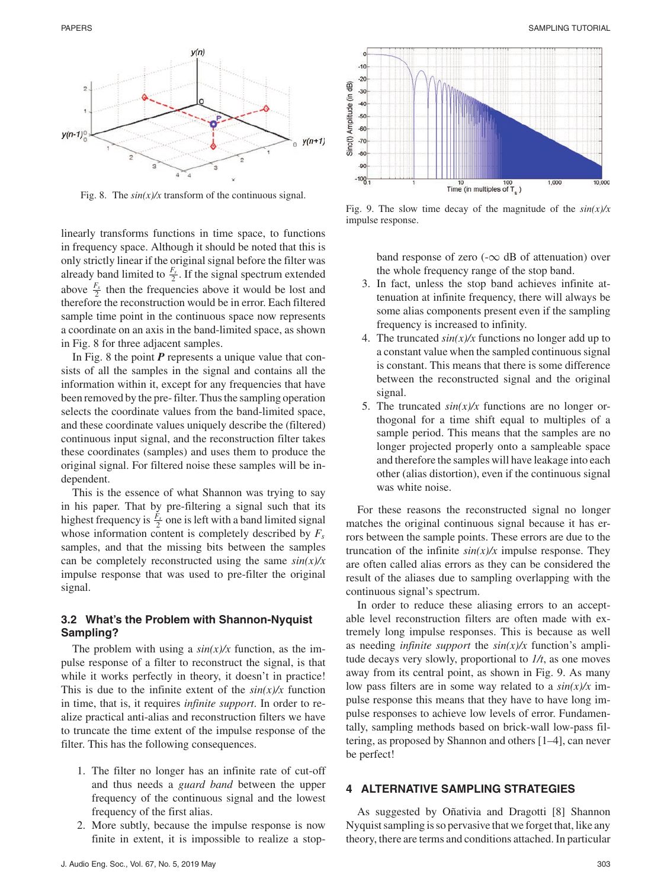

Fig. 8. The  $sin(x)/x$  transform of the continuous signal.

linearly transforms functions in time space, to functions in frequency space. Although it should be noted that this is only strictly linear if the original signal before the filter was already band limited to  $\frac{F_s}{2}$ . If the signal spectrum extended above  $\frac{F_s}{2}$  then the frequencies above it would be lost and therefore the reconstruction would be in error. Each filtered sample time point in the continuous space now represents a coordinate on an axis in the band-limited space, as shown in Fig. 8 for three adjacent samples.

In Fig. 8 the point *P* represents a unique value that consists of all the samples in the signal and contains all the information within it, except for any frequencies that have been removed by the pre- filter. Thus the sampling operation selects the coordinate values from the band-limited space, and these coordinate values uniquely describe the (filtered) continuous input signal, and the reconstruction filter takes these coordinates (samples) and uses them to produce the original signal. For filtered noise these samples will be independent.

This is the essence of what Shannon was trying to say in his paper. That by pre-filtering a signal such that its highest frequency is  $\frac{F_s}{2}$  one is left with a band limited signal whose information content is completely described by  $F_s$ samples, and that the missing bits between the samples can be completely reconstructed using the same *sin(x)/x* impulse response that was used to pre-filter the original signal.

## **3.2 What's the Problem with Shannon-Nyquist Sampling?**

The problem with using a  $sin(x)/x$  function, as the impulse response of a filter to reconstruct the signal, is that while it works perfectly in theory, it doesn't in practice! This is due to the infinite extent of the  $sin(x)/x$  function in time, that is, it requires *infinite support*. In order to realize practical anti-alias and reconstruction filters we have to truncate the time extent of the impulse response of the filter. This has the following consequences.

- 1. The filter no longer has an infinite rate of cut-off and thus needs a *guard band* between the upper frequency of the continuous signal and the lowest frequency of the first alias.
- 2. More subtly, because the impulse response is now finite in extent, it is impossible to realize a stop-



Fig. 9. The slow time decay of the magnitude of the *sin(x)/x* impulse response.

band response of zero ( $-\infty$  dB of attenuation) over the whole frequency range of the stop band.

- 3. In fact, unless the stop band achieves infinite attenuation at infinite frequency, there will always be some alias components present even if the sampling frequency is increased to infinity.
- 4. The truncated  $sin(x)/x$  functions no longer add up to a constant value when the sampled continuous signal is constant. This means that there is some difference between the reconstructed signal and the original signal.
- 5. The truncated  $sin(x)/x$  functions are no longer orthogonal for a time shift equal to multiples of a sample period. This means that the samples are no longer projected properly onto a sampleable space and therefore the samples will have leakage into each other (alias distortion), even if the continuous signal was white noise.

For these reasons the reconstructed signal no longer matches the original continuous signal because it has errors between the sample points. These errors are due to the truncation of the infinite  $sin(x)/x$  impulse response. They are often called alias errors as they can be considered the result of the aliases due to sampling overlapping with the continuous signal's spectrum.

In order to reduce these aliasing errors to an acceptable level reconstruction filters are often made with extremely long impulse responses. This is because as well as needing *infinite support* the *sin(x)/x* function's amplitude decays very slowly, proportional to *1/t*, as one moves away from its central point, as shown in Fig. 9. As many low pass filters are in some way related to a *sin(x)/x* impulse response this means that they have to have long impulse responses to achieve low levels of error. Fundamentally, sampling methods based on brick-wall low-pass filtering, as proposed by Shannon and others [1–4], can never be perfect!

## **4 ALTERNATIVE SAMPLING STRATEGIES**

As suggested by Oñativia and Dragotti [8] Shannon Nyquist sampling is so pervasive that we forget that, like any theory, there are terms and conditions attached. In particular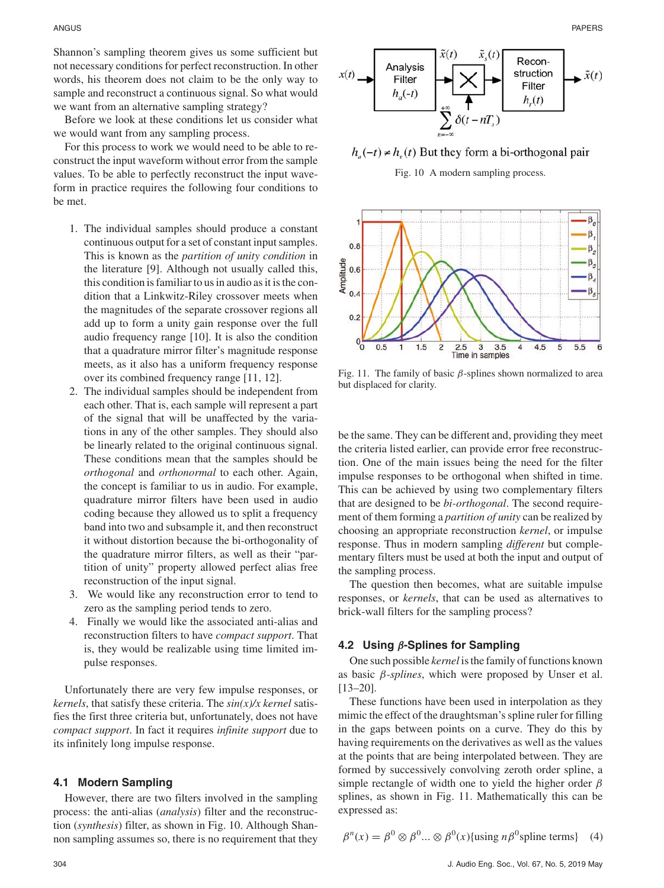Shannon's sampling theorem gives us some sufficient but not necessary conditions for perfect reconstruction. In other words, his theorem does not claim to be the only way to sample and reconstruct a continuous signal. So what would we want from an alternative sampling strategy?

Before we look at these conditions let us consider what we would want from any sampling process.

For this process to work we would need to be able to reconstruct the input waveform without error from the sample values. To be able to perfectly reconstruct the input waveform in practice requires the following four conditions to be met.

- 1. The individual samples should produce a constant continuous output for a set of constant input samples. This is known as the *partition of unity condition* in the literature [9]. Although not usually called this, this condition is familiar to us in audio as it is the condition that a Linkwitz-Riley crossover meets when the magnitudes of the separate crossover regions all add up to form a unity gain response over the full audio frequency range [10]. It is also the condition that a quadrature mirror filter's magnitude response meets, as it also has a uniform frequency response over its combined frequency range [11, 12].
- 2. The individual samples should be independent from each other. That is, each sample will represent a part of the signal that will be unaffected by the variations in any of the other samples. They should also be linearly related to the original continuous signal. These conditions mean that the samples should be *orthogonal* and *orthonormal* to each other. Again, the concept is familiar to us in audio. For example, quadrature mirror filters have been used in audio coding because they allowed us to split a frequency band into two and subsample it, and then reconstruct it without distortion because the bi-orthogonality of the quadrature mirror filters, as well as their "partition of unity" property allowed perfect alias free reconstruction of the input signal.
- 3. We would like any reconstruction error to tend to zero as the sampling period tends to zero.
- 4. Finally we would like the associated anti-alias and reconstruction filters to have *compact support*. That is, they would be realizable using time limited impulse responses.

Unfortunately there are very few impulse responses, or *kernels*, that satisfy these criteria. The *sin(x)/x kernel* satisfies the first three criteria but, unfortunately, does not have *compact support*. In fact it requires *infinite support* due to its infinitely long impulse response.

#### **4.1 Modern Sampling**

However, there are two filters involved in the sampling process: the anti-alias (*analysis*) filter and the reconstruction (*synthesis*) filter, as shown in Fig. 10. Although Shannon sampling assumes so, there is no requirement that they



 $h_a(-t) \neq h_x(t)$  But they form a bi-orthogonal pair

Fig. 10 A modern sampling process.



Fig. 11. The family of basic  $\beta$ -splines shown normalized to area but displaced for clarity.

be the same. They can be different and, providing they meet the criteria listed earlier, can provide error free reconstruction. One of the main issues being the need for the filter impulse responses to be orthogonal when shifted in time. This can be achieved by using two complementary filters that are designed to be *bi-orthogonal*. The second requirement of them forming a *partition of unity* can be realized by choosing an appropriate reconstruction *kernel*, or impulse response. Thus in modern sampling *different* but complementary filters must be used at both the input and output of the sampling process.

The question then becomes, what are suitable impulse responses, or *kernels*, that can be used as alternatives to brick-wall filters for the sampling process?

#### **4.2 Using** *β***-Splines for Sampling**

One such possible *kernel* is the family of functions known as basic β*-splines*, which were proposed by Unser et al. [13–20].

These functions have been used in interpolation as they mimic the effect of the draughtsman's spline ruler for filling in the gaps between points on a curve. They do this by having requirements on the derivatives as well as the values at the points that are being interpolated between. They are formed by successively convolving zeroth order spline, a simple rectangle of width one to yield the higher order  $\beta$ splines, as shown in Fig. 11. Mathematically this can be expressed as:

$$
\beta^{n}(x) = \beta^{0} \otimes \beta^{0} ... \otimes \beta^{0}(x) \{ \text{using } n\beta^{0} \text{ spline terms} \} \quad (4)
$$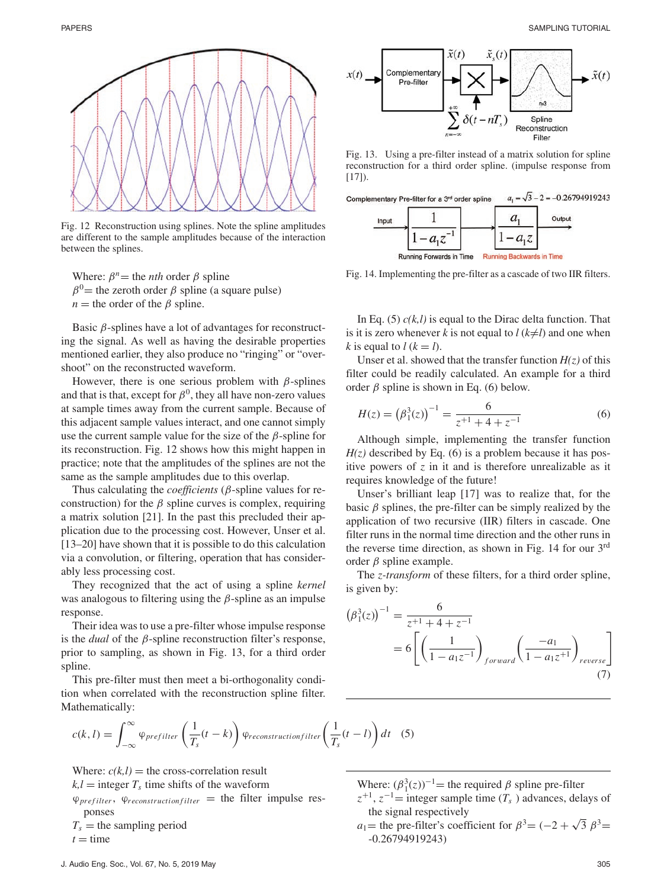

Fig. 12 Reconstruction using splines. Note the spline amplitudes are different to the sample amplitudes because of the interaction between the splines.

Where:  $\beta^n$  = the *nth* order  $\beta$  spline  $\beta^0$  = the zeroth order  $\beta$  spline (a square pulse)  $n =$  the order of the  $\beta$  spline.

Basic  $\beta$ -splines have a lot of advantages for reconstructing the signal. As well as having the desirable properties mentioned earlier, they also produce no "ringing" or "overshoot" on the reconstructed waveform.

However, there is one serious problem with  $\beta$ -splines and that is that, except for  $\beta^0$ , they all have non-zero values at sample times away from the current sample. Because of this adjacent sample values interact, and one cannot simply use the current sample value for the size of the  $\beta$ -spline for its reconstruction. Fig. 12 shows how this might happen in practice; note that the amplitudes of the splines are not the same as the sample amplitudes due to this overlap.

Thus calculating the *coefficients* (β-spline values for reconstruction) for the  $\beta$  spline curves is complex, requiring a matrix solution [21]. In the past this precluded their application due to the processing cost. However, Unser et al. [13–20] have shown that it is possible to do this calculation via a convolution, or filtering, operation that has considerably less processing cost.

They recognized that the act of using a spline *kernel* was analogous to filtering using the  $\beta$ -spline as an impulse response.

Their idea was to use a pre-filter whose impulse response is the *dual* of the β-spline reconstruction filter's response, prior to sampling, as shown in Fig. 13, for a third order spline.

This pre-filter must then meet a bi-orthogonality condition when correlated with the reconstruction spline filter. Mathematically:

$$
c(k,l) = \int_{-\infty}^{\infty} \varphi_{prefix} \left(\frac{1}{T_s}(t-k)\right) \varphi_{reconstructionfilter} \left(\frac{1}{T_s}(t-l)\right) dt \quad (5)
$$

Where:  $c(k,l)$  = the cross-correlation result

 $k, l =$  integer  $T_s$  time shifts of the waveform

ϕ*pref ilter*, ϕ*reconstr uction f ilter* = the filter impulse responses

 $T_s$  = the sampling period  $t =$  time



Fig. 13. Using a pre-filter instead of a matrix solution for spline reconstruction for a third order spline. (impulse response from [17]).

| Input |  | Output |
|-------|--|--------|
|       |  |        |
|       |  |        |

Fig. 14. Implementing the pre-filter as a cascade of two IIR filters.

In Eq.  $(5)$   $c(k, l)$  is equal to the Dirac delta function. That is it is zero whenever *k* is not equal to  $l (k \neq l)$  and one when *k* is equal to  $l$  ( $k = l$ ).

Unser et al. showed that the transfer function  $H(z)$  of this filter could be readily calculated. An example for a third order  $\beta$  spline is shown in Eq. (6) below.

$$
H(z) = (\beta_1^3(z))^{-1} = \frac{6}{z^{+1} + 4 + z^{-1}}
$$
 (6)

Although simple, implementing the transfer function  $H(z)$  described by Eq. (6) is a problem because it has positive powers of *z* in it and is therefore unrealizable as it requires knowledge of the future!

Unser's brilliant leap [17] was to realize that, for the basic  $\beta$  splines, the pre-filter can be simply realized by the application of two recursive (IIR) filters in cascade. One filter runs in the normal time direction and the other runs in the reverse time direction, as shown in Fig. 14 for our 3rd order  $β$  spline example.

The *z-transform* of these filters, for a third order spline, is given by:

$$
(\beta_1^3(z))^{-1} = \frac{6}{z^{+1} + 4 + z^{-1}}
$$
  
=  $6 \left[ \left( \frac{1}{1 - a_1 z^{-1}} \right)_{forward} \left( \frac{-a_1}{1 - a_1 z^{+1}} \right)_{reverse} \right]$  (7)

Where:  $(\beta_1^3(z))^{-1}$  = the required  $\beta$  spline pre-filter

- $z^{+1}$ ,  $z^{-1}$  = integer sample time ( $T_s$ ) advances, delays of the signal respectively
- *a*<sub>1</sub>= the pre-filter's coefficient for  $\beta^3 = (-2 + \sqrt{3} \beta^3$ = -0.26794919243)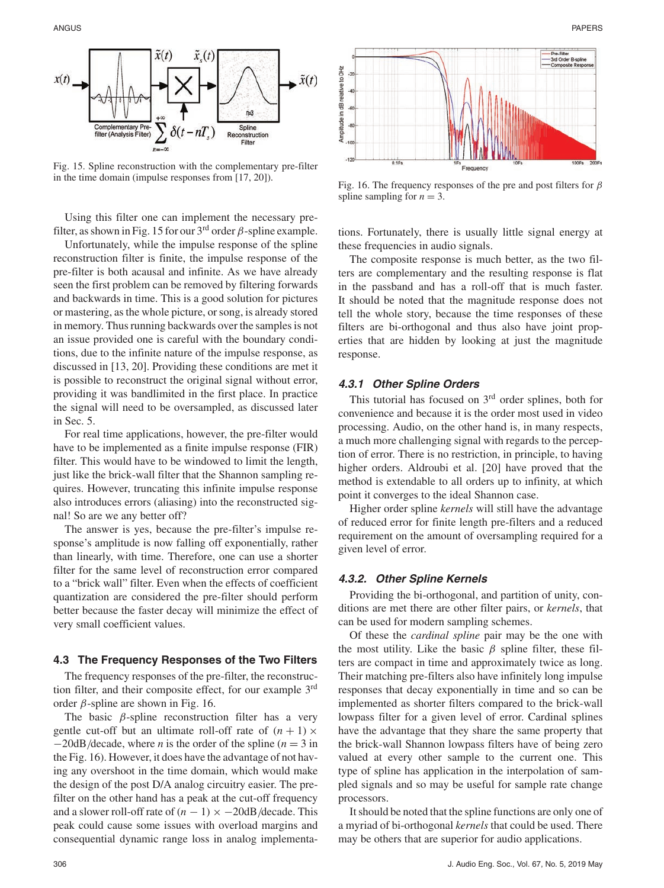

Fig. 15. Spline reconstruction with the complementary pre-filter in the time domain (impulse responses from [17, 20]).

Using this filter one can implement the necessary prefilter, as shown in Fig. 15 for our  $3<sup>rd</sup>$  order  $\beta$ -spline example.

Unfortunately, while the impulse response of the spline reconstruction filter is finite, the impulse response of the pre-filter is both acausal and infinite. As we have already seen the first problem can be removed by filtering forwards and backwards in time. This is a good solution for pictures or mastering, as the whole picture, or song, is already stored in memory. Thus running backwards over the samples is not an issue provided one is careful with the boundary conditions, due to the infinite nature of the impulse response, as discussed in [13, 20]. Providing these conditions are met it is possible to reconstruct the original signal without error, providing it was bandlimited in the first place. In practice the signal will need to be oversampled, as discussed later in Sec. 5.

For real time applications, however, the pre-filter would have to be implemented as a finite impulse response (FIR) filter. This would have to be windowed to limit the length, just like the brick-wall filter that the Shannon sampling requires. However, truncating this infinite impulse response also introduces errors (aliasing) into the reconstructed signal! So are we any better off?

The answer is yes, because the pre-filter's impulse response's amplitude is now falling off exponentially, rather than linearly, with time. Therefore, one can use a shorter filter for the same level of reconstruction error compared to a "brick wall" filter. Even when the effects of coefficient quantization are considered the pre-filter should perform better because the faster decay will minimize the effect of very small coefficient values.

### **4.3 The Frequency Responses of the Two Filters**

The frequency responses of the pre-filter, the reconstruction filter, and their composite effect, for our example 3rd order  $β$ -spline are shown in Fig. 16.

The basic  $\beta$ -spline reconstruction filter has a very gentle cut-off but an ultimate roll-off rate of  $(n + 1) \times$ −20dB/decade, where *n* is the order of the spline (*n* = 3 in the Fig. 16). However, it does have the advantage of not having any overshoot in the time domain, which would make the design of the post D/A analog circuitry easier. The prefilter on the other hand has a peak at the cut-off frequency and a slower roll-off rate of  $(n - 1) \times -20$ dB/decade. This peak could cause some issues with overload margins and consequential dynamic range loss in analog implementa-



Fig. 16. The frequency responses of the pre and post filters for  $\beta$ spline sampling for  $n = 3$ .

tions. Fortunately, there is usually little signal energy at these frequencies in audio signals.

The composite response is much better, as the two filters are complementary and the resulting response is flat in the passband and has a roll-off that is much faster. It should be noted that the magnitude response does not tell the whole story, because the time responses of these filters are bi-orthogonal and thus also have joint properties that are hidden by looking at just the magnitude response.

#### **4.3.1 Other Spline Orders**

This tutorial has focused on  $3<sup>rd</sup>$  order splines, both for convenience and because it is the order most used in video processing. Audio, on the other hand is, in many respects, a much more challenging signal with regards to the perception of error. There is no restriction, in principle, to having higher orders. Aldroubi et al. [20] have proved that the method is extendable to all orders up to infinity, at which point it converges to the ideal Shannon case.

Higher order spline *kernels* will still have the advantage of reduced error for finite length pre-filters and a reduced requirement on the amount of oversampling required for a given level of error.

## **4.3.2. Other Spline Kernels**

Providing the bi-orthogonal, and partition of unity, conditions are met there are other filter pairs, or *kernels*, that can be used for modern sampling schemes.

Of these the *cardinal spline* pair may be the one with the most utility. Like the basic  $\beta$  spline filter, these filters are compact in time and approximately twice as long. Their matching pre-filters also have infinitely long impulse responses that decay exponentially in time and so can be implemented as shorter filters compared to the brick-wall lowpass filter for a given level of error. Cardinal splines have the advantage that they share the same property that the brick-wall Shannon lowpass filters have of being zero valued at every other sample to the current one. This type of spline has application in the interpolation of sampled signals and so may be useful for sample rate change processors.

It should be noted that the spline functions are only one of a myriad of bi-orthogonal *kernels* that could be used. There may be others that are superior for audio applications.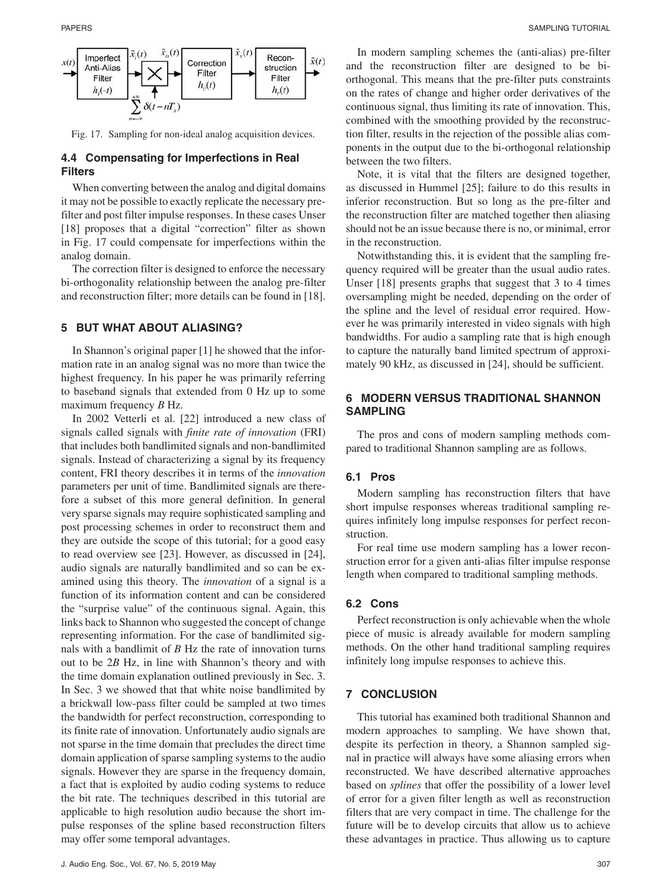

Fig. 17. Sampling for non-ideal analog acquisition devices.

## **4.4 Compensating for Imperfections in Real Filters**

When converting between the analog and digital domains it may not be possible to exactly replicate the necessary prefilter and post filter impulse responses. In these cases Unser [18] proposes that a digital "correction" filter as shown in Fig. 17 could compensate for imperfections within the analog domain.

The correction filter is designed to enforce the necessary bi-orthogonality relationship between the analog pre-filter and reconstruction filter; more details can be found in [18].

# **5 BUT WHAT ABOUT ALIASING?**

In Shannon's original paper [1] he showed that the information rate in an analog signal was no more than twice the highest frequency. In his paper he was primarily referring to baseband signals that extended from 0 Hz up to some maximum frequency *B* Hz.

In 2002 Vetterli et al. [22] introduced a new class of signals called signals with *finite rate of innovation* (FRI) that includes both bandlimited signals and non-bandlimited signals. Instead of characterizing a signal by its frequency content, FRI theory describes it in terms of the *innovation* parameters per unit of time. Bandlimited signals are therefore a subset of this more general definition. In general very sparse signals may require sophisticated sampling and post processing schemes in order to reconstruct them and they are outside the scope of this tutorial; for a good easy to read overview see [23]. However, as discussed in [24], audio signals are naturally bandlimited and so can be examined using this theory. The *innovation* of a signal is a function of its information content and can be considered the "surprise value" of the continuous signal. Again, this links back to Shannon who suggested the concept of change representing information. For the case of bandlimited signals with a bandlimit of *B* Hz the rate of innovation turns out to be 2*B* Hz, in line with Shannon's theory and with the time domain explanation outlined previously in Sec. 3. In Sec. 3 we showed that that white noise bandlimited by a brickwall low-pass filter could be sampled at two times the bandwidth for perfect reconstruction, corresponding to its finite rate of innovation. Unfortunately audio signals are not sparse in the time domain that precludes the direct time domain application of sparse sampling systems to the audio signals. However they are sparse in the frequency domain, a fact that is exploited by audio coding systems to reduce the bit rate. The techniques described in this tutorial are applicable to high resolution audio because the short impulse responses of the spline based reconstruction filters may offer some temporal advantages.

In modern sampling schemes the (anti-alias) pre-filter and the reconstruction filter are designed to be biorthogonal. This means that the pre-filter puts constraints on the rates of change and higher order derivatives of the continuous signal, thus limiting its rate of innovation. This, combined with the smoothing provided by the reconstruction filter, results in the rejection of the possible alias components in the output due to the bi-orthogonal relationship between the two filters.

Note, it is vital that the filters are designed together, as discussed in Hummel [25]; failure to do this results in inferior reconstruction. But so long as the pre-filter and the reconstruction filter are matched together then aliasing should not be an issue because there is no, or minimal, error in the reconstruction.

Notwithstanding this, it is evident that the sampling frequency required will be greater than the usual audio rates. Unser [18] presents graphs that suggest that 3 to 4 times oversampling might be needed, depending on the order of the spline and the level of residual error required. However he was primarily interested in video signals with high bandwidths. For audio a sampling rate that is high enough to capture the naturally band limited spectrum of approximately 90 kHz, as discussed in [24], should be sufficient.

# **6 MODERN VERSUS TRADITIONAL SHANNON SAMPLING**

The pros and cons of modern sampling methods compared to traditional Shannon sampling are as follows.

# **6.1 Pros**

Modern sampling has reconstruction filters that have short impulse responses whereas traditional sampling requires infinitely long impulse responses for perfect reconstruction.

For real time use modern sampling has a lower reconstruction error for a given anti-alias filter impulse response length when compared to traditional sampling methods.

#### **6.2 Cons**

Perfect reconstruction is only achievable when the whole piece of music is already available for modern sampling methods. On the other hand traditional sampling requires infinitely long impulse responses to achieve this.

## **7 CONCLUSION**

This tutorial has examined both traditional Shannon and modern approaches to sampling. We have shown that, despite its perfection in theory, a Shannon sampled signal in practice will always have some aliasing errors when reconstructed. We have described alternative approaches based on *splines* that offer the possibility of a lower level of error for a given filter length as well as reconstruction filters that are very compact in time. The challenge for the future will be to develop circuits that allow us to achieve these advantages in practice. Thus allowing us to capture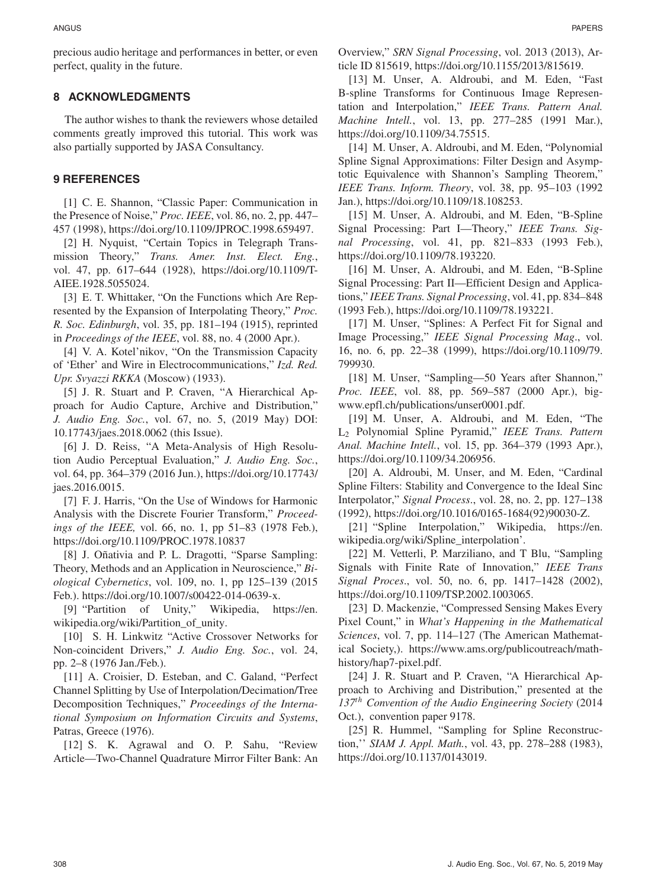precious audio heritage and performances in better, or even perfect, quality in the future.

## **8 ACKNOWLEDGMENTS**

The author wishes to thank the reviewers whose detailed comments greatly improved this tutorial. This work was also partially supported by JASA Consultancy.

## **9 REFERENCES**

[1] C. E. Shannon, "Classic Paper: Communication in the Presence of Noise," *Proc. IEEE*, vol. 86, no. 2, pp. 447– 457 (1998), https://doi.org/10.1109/JPROC.1998.659497.

[2] H. Nyquist, "Certain Topics in Telegraph Transmission Theory," *Trans. Amer. Inst. Elect. Eng.*, vol. 47, pp. 617–644 (1928), https://doi.org/10.1109/T-AIEE.1928.5055024.

[3] E. T. Whittaker, "On the Functions which Are Represented by the Expansion of Interpolating Theory," *Proc. R. Soc. Edinburgh*, vol. 35, pp. 181–194 (1915), reprinted in *Proceedings of the IEEE*, vol. 88, no. 4 (2000 Apr.).

[4] V. A. Kotel'nikov, "On the Transmission Capacity of 'Ether' and Wire in Electrocommunications," *Izd. Red. Upr. Svyazzi RKKA* (Moscow) (1933).

[5] J. R. Stuart and P. Craven, "A Hierarchical Approach for Audio Capture, Archive and Distribution," *J. Audio Eng. Soc.*, vol. 67, no. 5, (2019 May) DOI: 10.17743/jaes.2018.0062 (this Issue).

[6] J. D. Reiss, "A Meta-Analysis of High Resolution Audio Perceptual Evaluation," *J. Audio Eng. Soc.*, vol. 64, pp. 364–379 (2016 Jun.), https://doi.org/10.17743/ jaes.2016.0015.

[7] F. J. Harris, "On the Use of Windows for Harmonic Analysis with the Discrete Fourier Transform," *Proceedings of the IEEE,* vol. 66, no. 1, pp 51–83 (1978 Feb.), https://doi.org/10.1109/PROC.1978.10837

[8] J. Oñativia and P. L. Dragotti, "Sparse Sampling: Theory, Methods and an Application in Neuroscience," *Biological Cybernetics*, vol. 109, no. 1, pp 125–139 (2015 Feb.). https://doi.org/10.1007/s00422-014-0639-x.

[9] "Partition of Unity," Wikipedia, https://en. wikipedia.org/wiki/Partition\_of\_unity.

[10] S. H. Linkwitz "Active Crossover Networks for Non-coincident Drivers," *J. Audio Eng. Soc.*, vol. 24, pp. 2–8 (1976 Jan./Feb.).

[11] A. Croisier, D. Esteban, and C. Galand, "Perfect" Channel Splitting by Use of Interpolation/Decimation/Tree Decomposition Techniques," *Proceedings of the International Symposium on Information Circuits and Systems*, Patras, Greece (1976).

[12] S. K. Agrawal and O. P. Sahu, "Review Article—Two-Channel Quadrature Mirror Filter Bank: An Overview," *SRN Signal Processing*, vol. 2013 (2013), Article ID 815619, https://doi.org/10.1155/2013/815619.

[13] M. Unser, A. Aldroubi, and M. Eden, "Fast B-spline Transforms for Continuous Image Representation and Interpolation," *IEEE Trans. Pattern Anal. Machine Intell.*, vol. 13, pp. 277–285 (1991 Mar.), https://doi.org/10.1109/34.75515.

[14] M. Unser, A. Aldroubi, and M. Eden, "Polynomial Spline Signal Approximations: Filter Design and Asymptotic Equivalence with Shannon's Sampling Theorem," *IEEE Trans. Inform. Theory*, vol. 38, pp. 95–103 (1992 Jan.), https://doi.org/10.1109/18.108253.

[15] M. Unser, A. Aldroubi, and M. Eden, "B-Spline" Signal Processing: Part I—Theory," *IEEE Trans. Signal Processing*, vol. 41, pp. 821–833 (1993 Feb.), https://doi.org/10.1109/78.193220.

[16] M. Unser, A. Aldroubi, and M. Eden, "B-Spline Signal Processing: Part II—Efficient Design and Applications," *IEEE Trans. Signal Processing*, vol. 41, pp. 834–848 (1993 Feb.), https://doi.org/10.1109/78.193221.

[17] M. Unser, "Splines: A Perfect Fit for Signal and Image Processing," *IEEE Signal Processing Mag*., vol. 16, no. 6, pp. 22–38 (1999), https://doi.org/10.1109/79. 799930.

[18] M. Unser, "Sampling—50 Years after Shannon," *Proc. IEEE*, vol. 88, pp. 569–587 (2000 Apr.), bigwww.epfl.ch/publications/unser0001.pdf.

[19] M. Unser, A. Aldroubi, and M. Eden, "The L2 Polynomial Spline Pyramid," *IEEE Trans. Pattern Anal. Machine Intell.*, vol. 15, pp. 364–379 (1993 Apr.), https://doi.org/10.1109/34.206956.

[20] A. Aldroubi, M. Unser, and M. Eden, "Cardinal Spline Filters: Stability and Convergence to the Ideal Sinc Interpolator," *Signal Process*., vol. 28, no. 2, pp. 127–138 (1992), https://doi.org/10.1016/0165-1684(92)90030-Z.

[21] "Spline Interpolation," Wikipedia, https://en. wikipedia.org/wiki/Spline\_interpolation'.

[22] M. Vetterli, P. Marziliano, and T Blu, "Sampling Signals with Finite Rate of Innovation," *IEEE Trans Signal Proces*., vol. 50, no. 6, pp. 1417–1428 (2002), https://doi.org/10.1109/TSP.2002.1003065.

[23] D. Mackenzie, "Compressed Sensing Makes Every Pixel Count," in *What's Happening in the Mathematical Sciences*, vol. 7, pp. 114–127 (The American Mathematical Society,). https://www.ams.org/publicoutreach/mathhistory/hap7-pixel.pdf.

[24] J. R. Stuart and P. Craven, "A Hierarchical Approach to Archiving and Distribution," presented at the *137th Convention of the Audio Engineering Society* (2014 Oct.), convention paper 9178.

[25] R. Hummel, "Sampling for Spline Reconstruction,'' *SIAM J. Appl. Math.*, vol. 43, pp. 278–288 (1983), https://doi.org/10.1137/0143019.